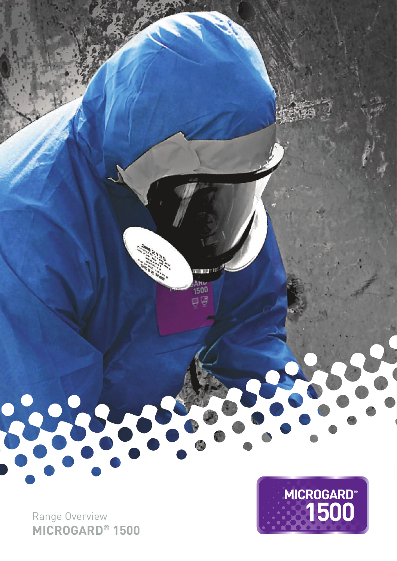

Range Overview **MICROGARD ® 1500**

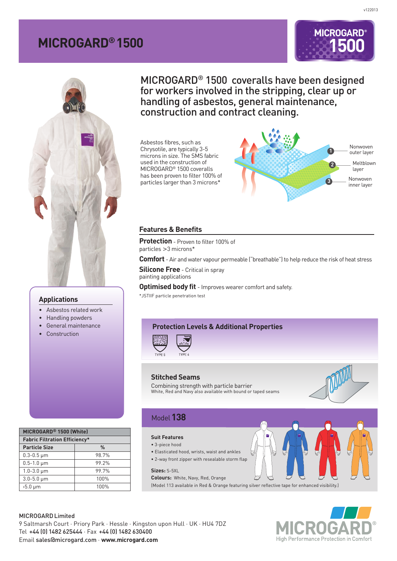# **MICROGARD® 1500**





#### **Applications**

- Asbestos related work
- Handling powders
- General maintenance
- Construction

| MICROGARD <sup>®</sup> 1500 (White)  |       |  |  |
|--------------------------------------|-------|--|--|
| <b>Fabric Filtration Efficiency*</b> |       |  |  |
| <b>Particle Size</b>                 | %     |  |  |
| $0.3 - 0.5 \,\mu m$                  | 98.7% |  |  |
| $0.5 - 1.0 \mu m$                    | 99.2% |  |  |
| $1.0 - 3.0 \,\mu m$                  | 99.7% |  |  |
| $3.0 - 5.0 \mu m$                    | 100%  |  |  |
| $5.0 \mu m$                          | 100%  |  |  |
|                                      |       |  |  |

MICROGARD® 1500 coveralls have been designed for workers involved in the stripping, clear up or handling of asbestos, general maintenance, construction and contract cleaning.

Asbestos fibres, such as Chrysotile, are typically 3-5 microns in size. The SMS fabric used in the construction of MICROGARD® 1500 coveralls has been proven to filter 100% of particles larger than 3 microns\*



#### **Features & Benefits**

**Protection** - Proven to filter 100% of particles >3 microns\*

**Comfort** - Air and water vapour permeable ("breathable") to help reduce the risk of heat stress

**Silicone Free** - Critical in spray painting applications

**Optimised body fit** - Improves wearer comfort and safety.

\*JSTIIF particle penetration test

### **Protection Levels & Additional Properties**



#### **Stitched Seams**

Combining strength with particle barrier White, Red and Navy also available with bound or taped seams



## Model**138**

#### **Suit Features**

• 3-piece hood

- Elasticated hood, wrists, waist and ankles
- 2-way front zipper with resealable storm flap

**Sizes:** S-5XL

**Colours:** White, Navy, Red, Orange

(Model 113 available in Red & Orange featuring silver reflective tape for enhanced visibility.)

MICROGARD Limited 9 Saltmarsh Court · Priory Park · Hessle · Kingston upon Hull · UK · HU4 7DZ Tel +44 (0) 1482 625444 · Fax +44 (0) 1482 630400 Email sales@microgard.com · **www.microgard.com**